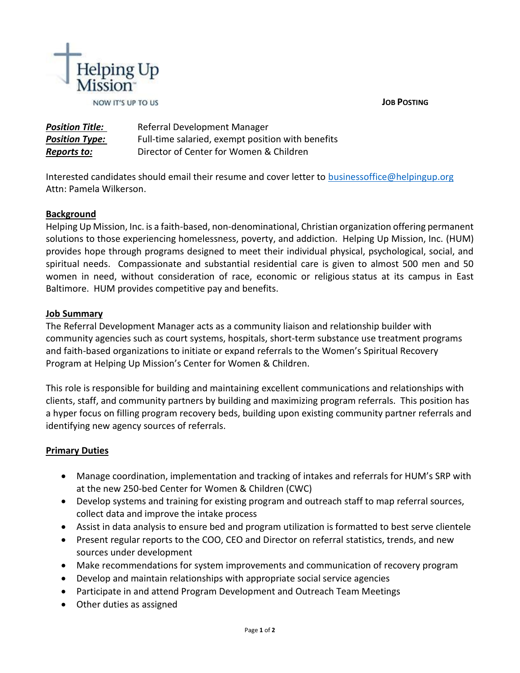**JOB POSTING**



| <b>Position Title:</b> | Referral Development Manager                      |
|------------------------|---------------------------------------------------|
| <b>Position Type:</b>  | Full-time salaried, exempt position with benefits |
| <b>Reports to:</b>     | Director of Center for Women & Children           |

Interested candidates should email their resume and cover letter to [businessoffice@helpingup.org](mailto:businessoffice@helpingup.org) Attn: Pamela Wilkerson.

## **Background**

Helping Up Mission, Inc. is a faith-based, non-denominational, Christian organization offering permanent solutions to those experiencing homelessness, poverty, and addiction. Helping Up Mission, Inc. (HUM) provides hope through programs designed to meet their individual physical, psychological, social, and spiritual needs. Compassionate and substantial residential care is given to almost 500 men and 50 women in need, without consideration of race, economic or religious status at its campus in East Baltimore. HUM provides competitive pay and benefits.

## **Job Summary**

The Referral Development Manager acts as a community liaison and relationship builder with community agencies such as court systems, hospitals, short-term substance use treatment programs and faith-based organizations to initiate or expand referrals to the Women's Spiritual Recovery Program at Helping Up Mission's Center for Women & Children.

This role is responsible for building and maintaining excellent communications and relationships with clients, staff, and community partners by building and maximizing program referrals. This position has a hyper focus on filling program recovery beds, building upon existing community partner referrals and identifying new agency sources of referrals.

## **Primary Duties**

- Manage coordination, implementation and tracking of intakes and referrals for HUM's SRP with at the new 250-bed Center for Women & Children (CWC)
- Develop systems and training for existing program and outreach staff to map referral sources, collect data and improve the intake process
- Assist in data analysis to ensure bed and program utilization is formatted to best serve clientele
- Present regular reports to the COO, CEO and Director on referral statistics, trends, and new sources under development
- Make recommendations for system improvements and communication of recovery program
- Develop and maintain relationships with appropriate social service agencies
- Participate in and attend Program Development and Outreach Team Meetings
- Other duties as assigned